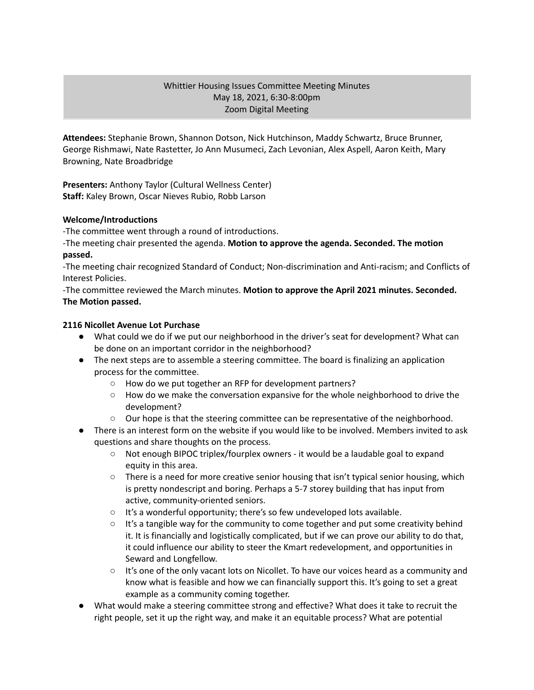#### Whittier Housing Issues Committee Meeting Minutes May 18, 2021, 6:30-8:00pm Zoom Digital Meeting

**Attendees:** Stephanie Brown, Shannon Dotson, Nick Hutchinson, Maddy Schwartz, Bruce Brunner, George Rishmawi, Nate Rastetter, Jo Ann Musumeci, Zach Levonian, Alex Aspell, Aaron Keith, Mary Browning, Nate Broadbridge

**Presenters:** Anthony Taylor (Cultural Wellness Center) **Staff:** Kaley Brown, Oscar Nieves Rubio, Robb Larson

#### **Welcome/Introductions**

-The committee went through a round of introductions.

-The meeting chair presented the agenda. **Motion to approve the agenda. Seconded. The motion passed.**

-The meeting chair recognized Standard of Conduct; Non-discrimination and Anti-racism; and Conflicts of Interest Policies.

-The committee reviewed the March minutes. **Motion to approve the April 2021 minutes. Seconded. The Motion passed.**

#### **2116 Nicollet Avenue Lot Purchase**

- What could we do if we put our neighborhood in the driver's seat for development? What can be done on an important corridor in the neighborhood?
- The next steps are to assemble a steering committee. The board is finalizing an application process for the committee.
	- How do we put together an RFP for development partners?
	- $\circ$  How do we make the conversation expansive for the whole neighborhood to drive the development?
	- $\circ$  Our hope is that the steering committee can be representative of the neighborhood.
- There is an interest form on the website if you would like to be involved. Members invited to ask questions and share thoughts on the process.
	- Not enough BIPOC triplex/fourplex owners it would be a laudable goal to expand equity in this area.
	- There is a need for more creative senior housing that isn't typical senior housing, which is pretty nondescript and boring. Perhaps a 5-7 storey building that has input from active, community-oriented seniors.
	- It's a wonderful opportunity; there's so few undeveloped lots available.
	- $\circ$  It's a tangible way for the community to come together and put some creativity behind it. It is financially and logistically complicated, but if we can prove our ability to do that, it could influence our ability to steer the Kmart redevelopment, and opportunities in Seward and Longfellow.
	- It's one of the only vacant lots on Nicollet. To have our voices heard as a community and know what is feasible and how we can financially support this. It's going to set a great example as a community coming together.
- What would make a steering committee strong and effective? What does it take to recruit the right people, set it up the right way, and make it an equitable process? What are potential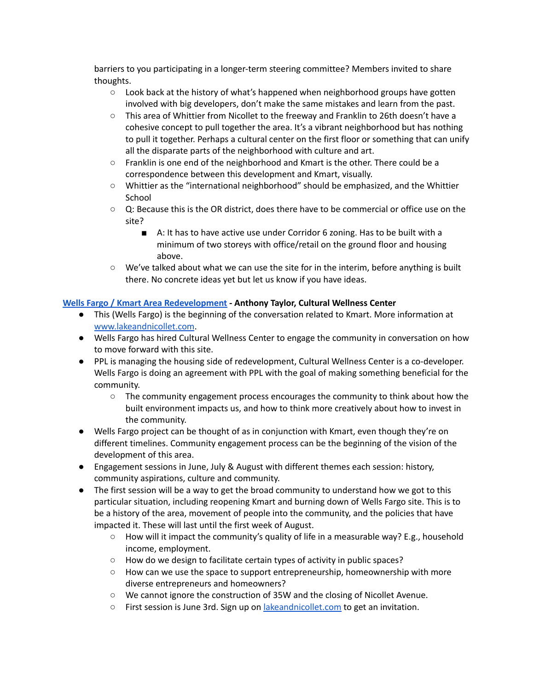barriers to you participating in a longer-term steering committee? Members invited to share thoughts.

- $\circ$  Look back at the history of what's happened when neighborhood groups have gotten involved with big developers, don't make the same mistakes and learn from the past.
- This area of Whittier from Nicollet to the freeway and Franklin to 26th doesn't have a cohesive concept to pull together the area. It's a vibrant neighborhood but has nothing to pull it together. Perhaps a cultural center on the first floor or something that can unify all the disparate parts of the neighborhood with culture and art.
- Franklin is one end of the neighborhood and Kmart is the other. There could be a correspondence between this development and Kmart, visually.
- Whittier as the "international neighborhood" should be emphasized, and the Whittier School
- Q: Because this is the OR district, does there have to be commercial or office use on the site?
	- A: It has to have active use under Corridor 6 zoning. Has to be built with a minimum of two storeys with office/retail on the ground floor and housing above.
- We've talked about what we can use the site for in the interim, before anything is built there. No concrete ideas yet but let us know if you have ideas.

# **Wells Fargo / Kmart Area [Redevelopment](https://www.lakeandnicollet.com/) - Anthony Taylor, Cultural Wellness Center**

- This (Wells Fargo) is the beginning of the conversation related to Kmart. More information at [www.lakeandnicollet.com](http://www.lakeandnicollet.com).
- Wells Fargo has hired Cultural Wellness Center to engage the community in conversation on how to move forward with this site.
- PPL is managing the housing side of redevelopment, Cultural Wellness Center is a co-developer. Wells Fargo is doing an agreement with PPL with the goal of making something beneficial for the community.
	- The community engagement process encourages the community to think about how the built environment impacts us, and how to think more creatively about how to invest in the community.
- Wells Fargo project can be thought of as in conjunction with Kmart, even though they're on different timelines. Community engagement process can be the beginning of the vision of the development of this area.
- Engagement sessions in June, July & August with different themes each session: history, community aspirations, culture and community.
- The first session will be a way to get the broad community to understand how we got to this particular situation, including reopening Kmart and burning down of Wells Fargo site. This is to be a history of the area, movement of people into the community, and the policies that have impacted it. These will last until the first week of August.
	- How will it impact the community's quality of life in a measurable way? E.g., household income, employment.
	- How do we design to facilitate certain types of activity in public spaces?
	- $\circ$  How can we use the space to support entrepreneurship, homeownership with more diverse entrepreneurs and homeowners?
	- We cannot ignore the construction of 35W and the closing of Nicollet Avenue.
	- $\circ$  First session is June 3rd. Sign up on *[lakeandnicollet.com](https://www.lakeandnicollet.com/)* to get an invitation.